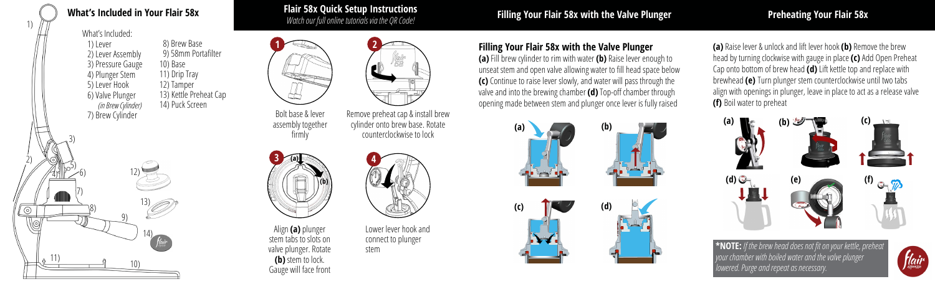# **What's Included in Your Flair 58x Flair 58x Quick Setup Instructions**

## *Watch our full online tutorials via the QR Code!* **Filling Your Flair 58x with the Valve Plunger Preheating Your Flair 58x**

What's Included:

3)

5)<br>/6)

7)

8)

4)

11)

1)

2)

 $\odot$ 

 1) Lever 2) Lever Assembly 3) Pressure Gauge 4) Plunger Stem 5) Lever Hook 6) Valve Plunger *(in Brew Cylinder)* 7) Brew Cylinder

12)

10)

9)

13)

14)

 8) Brew Base 9) 58mm Portafilter 10) Base 11) Drip Tray 12) Tamper 13) Kettle Preheat Cap 14) Puck Screen

Bolt base & lever

assembly together firmly



Align **(a)** plunger stem tabs to slots on valve plunger. Rotate **(b)** stem to lock. Gauge will face front



Remove preheat cap & install brew cylinder onto brew base. Rotate counterclockwise to lock



Lower lever hook and connect to plunger stem

## **Filling Your Flair 58x with the Valve Plunger**

**(a)** Fill brew cylinder to rim with water **(b)** Raise lever enough to unseat stem and open valve allowing water to fill head space below **(c)** Continue to raise lever slowly, and water will pass through the valve and into the brewing chamber **(d)** Top-off chamber through opening made between stem and plunger once lever is fully raised



**(a)** Raise lever & unlock and lift lever hook **(b)** Remove the brew head by turning clockwise with gauge in place **(c)** Add Open Preheat Cap onto bottom of brew head **(d)** Lift kettle top and replace with brewhead **(e)** Turn plunger stem counterclockwise until two tabs align with openings in plunger, leave in place to act as a release valve **(f)** Boil water to preheat



**\*NOTE:** *If the brew head does not fit on your kettle, preheat your chamber with boiled water and the valve plunger lowered. Purge and repeat as necessary.*